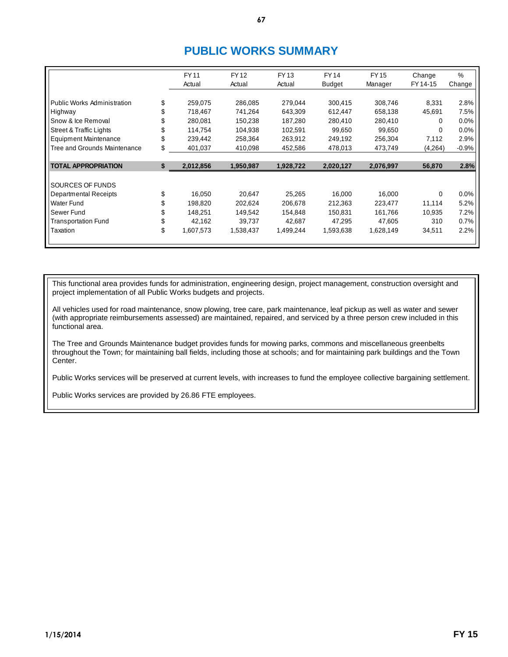## **PUBLIC WORKS SUMMARY**

|                                    |    | <b>FY11</b> | <b>FY12</b> | <b>FY13</b> | <b>FY14</b>   | <b>FY15</b> | Change   | %       |
|------------------------------------|----|-------------|-------------|-------------|---------------|-------------|----------|---------|
|                                    |    | Actual      | Actual      | Actual      | <b>Budget</b> | Manager     | FY 14-15 | Change  |
|                                    |    |             |             |             |               |             |          |         |
| Public Works Administration        | \$ | 259,075     | 286,085     | 279,044     | 300,415       | 308,746     | 8,331    | 2.8%    |
| Highway                            |    | 718,467     | 741,264     | 643,309     | 612,447       | 658,138     | 45,691   | 7.5%    |
| Snow & Ice Removal                 |    | 280.081     | 150.238     | 187.280     | 280,410       | 280,410     | 0        | 0.0%    |
| <b>Street &amp; Traffic Lights</b> | \$ | 114,754     | 104,938     | 102,591     | 99,650        | 99,650      | 0        | 0.0%    |
| <b>Equipment Maintenance</b>       | \$ | 239,442     | 258,364     | 263,912     | 249,192       | 256,304     | 7,112    | 2.9%    |
| Tree and Grounds Maintenance       | S  | 401,037     | 410,098     | 452,586     | 478,013       | 473,749     | (4,264)  | $-0.9%$ |
|                                    |    |             |             |             |               |             |          |         |
| <b>TOTAL APPROPRIATION</b>         | \$ | 2,012,856   | 1,950,987   | 1,928,722   | 2,020,127     | 2,076,997   | 56,870   | 2.8%    |
|                                    |    |             |             |             |               |             |          |         |
| SOURCES OF FUNDS                   |    |             |             |             |               |             |          |         |
| <b>Departmental Receipts</b>       | \$ | 16.050      | 20.647      | 25.265      | 16.000        | 16.000      | 0        | 0.0%    |
| Water Fund                         |    | 198,820     | 202,624     | 206,678     | 212,363       | 223,477     | 11,114   | 5.2%    |
| Sewer Fund                         |    | 148,251     | 149,542     | 154,848     | 150,831       | 161,766     | 10,935   | 7.2%    |
| Transportation Fund                | \$ | 42,162      | 39,737      | 42,687      | 47,295        | 47,605      | 310      | 0.7%    |
| Taxation                           | \$ | 1,607,573   | 1,538,437   | 1,499,244   | 1,593,638     | 1,628,149   | 34,511   | 2.2%    |
|                                    |    |             |             |             |               |             |          |         |

This functional area provides funds for administration, engineering design, project management, construction oversight and project implementation of all Public Works budgets and projects.

All vehicles used for road maintenance, snow plowing, tree care, park maintenance, leaf pickup as well as water and sewer (with appropriate reimbursements assessed) are maintained, repaired, and serviced by a three person crew included in this functional area.

The Tree and Grounds Maintenance budget provides funds for mowing parks, commons and miscellaneous greenbelts throughout the Town; for maintaining ball fields, including those at schools; and for maintaining park buildings and the Town Center.

Public Works services will be preserved at current levels, with increases to fund the employee collective bargaining settlement.

Public Works services are provided by 26.86 FTE employees.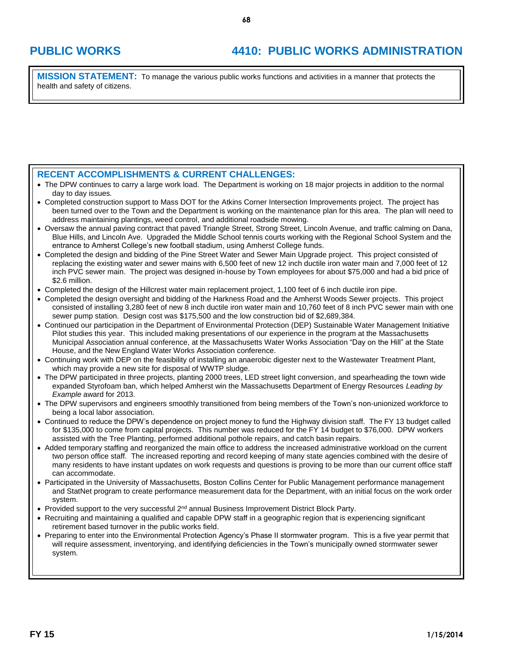# **PUBLIC WORKS 4410: PUBLIC WORKS ADMINISTRATION**

**MISSION STATEMENT:** To manage the various public works functions and activities in a manner that protects the health and safety of citizens.

### **RECENT ACCOMPLISHMENTS & CURRENT CHALLENGES:**

- The DPW continues to carry a large work load. The Department is working on 18 major projects in addition to the normal day to day issues.
- Completed construction support to Mass DOT for the Atkins Corner Intersection Improvements project. The project has been turned over to the Town and the Department is working on the maintenance plan for this area. The plan will need to address maintaining plantings, weed control, and additional roadside mowing.
- Oversaw the annual paving contract that paved Triangle Street, Strong Street, Lincoln Avenue, and traffic calming on Dana, Blue Hills, and Lincoln Ave. Upgraded the Middle School tennis courts working with the Regional School System and the entrance to Amherst College's new football stadium, using Amherst College funds.
- Completed the design and bidding of the Pine Street Water and Sewer Main Upgrade project. This project consisted of replacing the existing water and sewer mains with 6,500 feet of new 12 inch ductile iron water main and 7,000 feet of 12 inch PVC sewer main. The project was designed in-house by Town employees for about \$75,000 and had a bid price of \$2.6 million.
- Completed the design of the Hillcrest water main replacement project, 1,100 feet of 6 inch ductile iron pipe.
- Completed the design oversight and bidding of the Harkness Road and the Amherst Woods Sewer projects. This project consisted of installing 3,280 feet of new 8 inch ductile iron water main and 10,760 feet of 8 inch PVC sewer main with one sewer pump station. Design cost was \$175,500 and the low construction bid of \$2,689,384.
- Continued our participation in the Department of Environmental Protection (DEP) Sustainable Water Management Initiative Pilot studies this year. This included making presentations of our experience in the program at the Massachusetts Municipal Association annual conference, at the Massachusetts Water Works Association "Day on the Hill" at the State House, and the New England Water Works Association conference.
- Continuing work with DEP on the feasibility of installing an anaerobic digester next to the Wastewater Treatment Plant, which may provide a new site for disposal of WWTP sludge.
- The DPW participated in three projects, planting 2000 trees, LED street light conversion, and spearheading the town wide expanded Styrofoam ban, which helped Amherst win the Massachusetts Department of Energy Resources *Leading by Example* award for 2013.
- The DPW supervisors and engineers smoothly transitioned from being members of the Town's non-unionized workforce to being a local labor association.
- Continued to reduce the DPW's dependence on project money to fund the Highway division staff. The FY 13 budget called for \$135,000 to come from capital projects. This number was reduced for the FY 14 budget to \$76,000. DPW workers assisted with the Tree Planting, performed additional pothole repairs, and catch basin repairs.
- Added temporary staffing and reorganized the main office to address the increased administrative workload on the current two person office staff. The increased reporting and record keeping of many state agencies combined with the desire of many residents to have instant updates on work requests and questions is proving to be more than our current office staff can accommodate.
- Participated in the University of Massachusetts, Boston Collins Center for Public Management performance management and StatNet program to create performance measurement data for the Department, with an initial focus on the work order system.
- Provided support to the very successful 2<sup>nd</sup> annual Business Improvement District Block Party.
- Recruiting and maintaining a qualified and capable DPW staff in a geographic region that is experiencing significant retirement based turnover in the public works field.
- Preparing to enter into the Environmental Protection Agency's Phase II stormwater program. This is a five year permit that will require assessment, inventorying, and identifying deficiencies in the Town's municipally owned stormwater sewer system.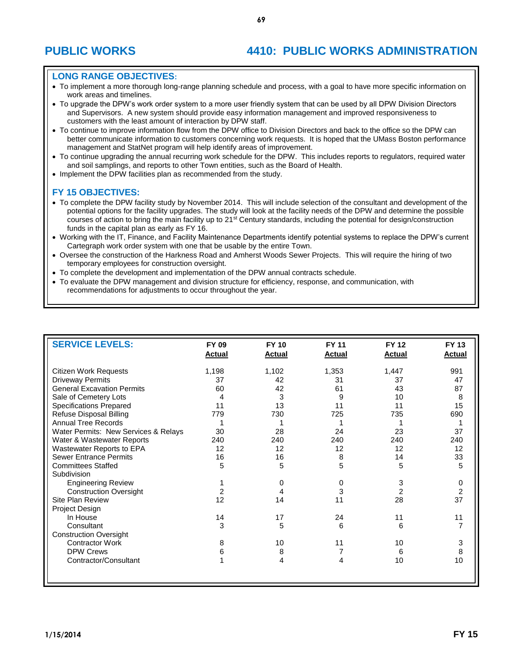#### **LONG RANGE OBJECTIVES:**

- To implement a more thorough long-range planning schedule and process, with a goal to have more specific information on work areas and timelines.
- To upgrade the DPW's work order system to a more user friendly system that can be used by all DPW Division Directors and Supervisors. A new system should provide easy information management and improved responsiveness to customers with the least amount of interaction by DPW staff.
- To continue to improve information flow from the DPW office to Division Directors and back to the office so the DPW can better communicate information to customers concerning work requests. It is hoped that the UMass Boston performance management and StatNet program will help identify areas of improvement.
- To continue upgrading the annual recurring work schedule for the DPW. This includes reports to regulators, required water and soil samplings, and reports to other Town entities, such as the Board of Health.
- Implement the DPW facilities plan as recommended from the study.

#### **FY 15 OBJECTIVES:**

- To complete the DPW facility study by November 2014. This will include selection of the consultant and development of the potential options for the facility upgrades. The study will look at the facility needs of the DPW and determine the possible courses of action to bring the main facility up to 21<sup>st</sup> Century standards, including the potential for design/construction funds in the capital plan as early as FY 16.
- Working with the IT, Finance, and Facility Maintenance Departments identify potential systems to replace the DPW's current Cartegraph work order system with one that be usable by the entire Town.
- Oversee the construction of the Harkness Road and Amherst Woods Sewer Projects. This will require the hiring of two temporary employees for construction oversight.
- To complete the development and implementation of the DPW annual contracts schedule.
- To evaluate the DPW management and division structure for efficiency, response, and communication, with recommendations for adjustments to occur throughout the year.

| <b>SERVICE LEVELS:</b>               | FY 09<br><b>Actual</b> | <b>FY 10</b><br><b>Actual</b> | <b>FY 11</b><br><b>Actual</b> | <b>FY 12</b><br><b>Actual</b> | <b>FY 13</b><br><b>Actual</b> |
|--------------------------------------|------------------------|-------------------------------|-------------------------------|-------------------------------|-------------------------------|
| <b>Citizen Work Requests</b>         | 1,198                  | 1,102                         | 1,353                         | 1,447                         | 991                           |
| <b>Driveway Permits</b>              | 37                     | 42                            | 31                            | 37                            | 47                            |
| <b>General Excavation Permits</b>    | 60                     | 42                            | 61                            | 43                            | 87                            |
| Sale of Cemetery Lots                | 4                      | 3                             | 9                             | 10                            | 8                             |
| <b>Specifications Prepared</b>       | 11                     | 13                            | 11                            | 11                            | 15                            |
| Refuse Disposal Billing              | 779                    | 730                           | 725                           | 735                           | 690                           |
| <b>Annual Tree Records</b>           |                        |                               |                               |                               |                               |
| Water Permits: New Services & Relays | 30                     | 28                            | 24                            | 23                            | 37                            |
| Water & Wastewater Reports           | 240                    | 240                           | 240                           | 240                           | 240                           |
| Wastewater Reports to EPA            | 12                     | 12                            | 12                            | 12                            | 12                            |
| <b>Sewer Entrance Permits</b>        | 16                     | 16                            | 8                             | 14                            | 33                            |
| <b>Committees Staffed</b>            | 5                      | 5                             | 5                             | 5                             | 5                             |
| Subdivision                          |                        |                               |                               |                               |                               |
| <b>Engineering Review</b>            |                        | 0                             | 0                             | 3                             | 0                             |
| <b>Construction Oversight</b>        | $\overline{2}$         | 4                             | 3                             | $\overline{2}$                | $\boldsymbol{2}$              |
| Site Plan Review                     | 12                     | 14                            | 11                            | 28                            | 37                            |
| Project Design                       |                        |                               |                               |                               |                               |
| In House                             | 14                     | 17                            | 24                            | 11                            | 11                            |
| Consultant                           | 3                      | 5                             | 6                             | 6                             | $\overline{7}$                |
| <b>Construction Oversight</b>        |                        |                               |                               |                               |                               |
| <b>Contractor Work</b>               | 8                      | 10                            | 11                            | 10                            | 3                             |
| <b>DPW Crews</b>                     | 6                      | 8                             |                               | 6                             | 8                             |
| Contractor/Consultant                |                        | 4                             | 4                             | 10                            | 10                            |
|                                      |                        |                               |                               |                               |                               |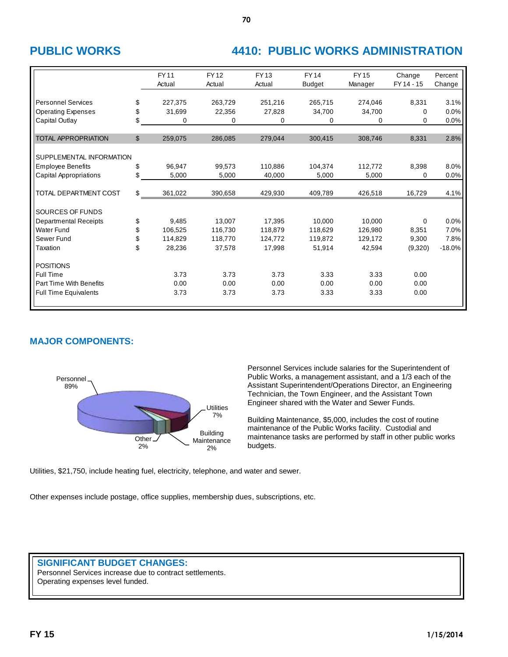# **PUBLIC WORKS 4410: PUBLIC WORKS ADMINISTRATION**

|                               | <b>FY11</b><br>Actual | <b>FY12</b><br>Actual | <b>FY13</b><br>Actual | <b>FY14</b><br><b>Budget</b> | <b>FY15</b><br>Manager | Change<br>FY 14 - 15 | Percent<br>Change |
|-------------------------------|-----------------------|-----------------------|-----------------------|------------------------------|------------------------|----------------------|-------------------|
|                               |                       |                       |                       |                              |                        |                      |                   |
| <b>Personnel Services</b>     | \$<br>227.375         | 263.729               | 251,216               | 265.715                      | 274,046                | 8,331                | 3.1%              |
| <b>Operating Expenses</b>     | \$<br>31,699          | 22,356                | 27,828                | 34,700                       | 34,700                 | 0                    | 0.0%              |
| Capital Outlay                | \$<br>0               | $\Omega$              | 0                     | 0                            | $\Omega$               | 0                    | 0.0%              |
|                               |                       |                       |                       |                              |                        |                      |                   |
| <b>TOTAL APPROPRIATION</b>    | \$<br>259,075         | 286,085               | 279,044               | 300,415                      | 308,746                | 8,331                | 2.8%              |
|                               |                       |                       |                       |                              |                        |                      |                   |
| SUPPLEMENTAL INFORMATION      |                       |                       |                       |                              |                        |                      |                   |
| <b>Employee Benefits</b>      | \$<br>96,947          | 99.573                | 110,886               | 104,374                      | 112,772                | 8,398                | 8.0%              |
| <b>Capital Appropriations</b> | \$<br>5,000           | 5,000                 | 40,000                | 5,000                        | 5,000                  | 0                    | 0.0%              |
|                               |                       |                       |                       |                              |                        |                      |                   |
| TOTAL DEPARTMENT COST         | \$<br>361,022         | 390,658               | 429,930               | 409,789                      | 426,518                | 16,729               | 4.1%              |
|                               |                       |                       |                       |                              |                        |                      |                   |
| SOURCES OF FUNDS              |                       |                       |                       |                              |                        |                      |                   |
| <b>Departmental Receipts</b>  | \$<br>9.485           | 13,007                | 17,395                | 10.000                       | 10.000                 | 0                    | 0.0%              |
| <b>Water Fund</b>             | \$<br>106,525         | 116,730               | 118,879               | 118,629                      | 126,980                | 8,351                | 7.0%              |
| Sewer Fund                    | \$<br>114,829         | 118,770               | 124,772               | 119,872                      | 129,172                | 9,300                | 7.8%              |
| Taxation                      | \$<br>28,236          | 37,578                | 17,998                | 51,914                       | 42,594                 | (9,320)              | $-18.0%$          |
|                               |                       |                       |                       |                              |                        |                      |                   |
| <b>POSITIONS</b>              |                       |                       |                       |                              |                        |                      |                   |
| Full Time                     | 3.73                  | 3.73                  | 3.73                  | 3.33                         | 3.33                   | 0.00                 |                   |
| Part Time With Benefits       | 0.00                  | 0.00                  | 0.00                  | 0.00                         | 0.00                   | 0.00                 |                   |
| <b>Full Time Equivalents</b>  | 3.73                  | 3.73                  | 3.73                  | 3.33                         | 3.33                   | 0.00                 |                   |
|                               |                       |                       |                       |                              |                        |                      |                   |

### **MAJOR COMPONENTS:**



Personnel Services include salaries for the Superintendent of Public Works, a management assistant, and a 1/3 each of the Assistant Superintendent/Operations Director, an Engineering Technician, the Town Engineer, and the Assistant Town Engineer shared with the Water and Sewer Funds.

Building Maintenance, \$5,000, includes the cost of routine maintenance of the Public Works facility. Custodial and maintenance tasks are performed by staff in other public works budgets.

Utilities, \$21,750, include heating fuel, electricity, telephone, and water and sewer.

Other expenses include postage, office supplies, membership dues, subscriptions, etc.

### **SIGNIFICANT BUDGET CHANGES:**

Personnel Services increase due to contract settlements. Operating expenses level funded.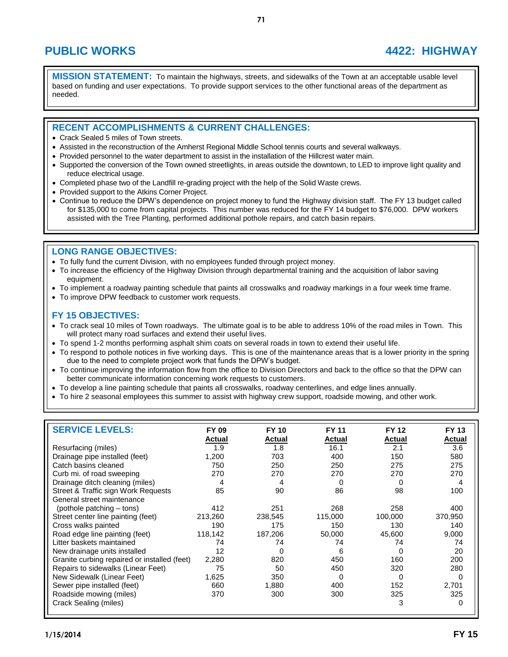## **PUBLIC WORKS 4422: HIGHWAY**

**MISSION STATEMENT:** To maintain the highways, streets, and sidewalks of the Town at an acceptable usable level based on funding and user expectations. To provide support services to the other functional areas of the department as needed.

### **RECENT ACCOMPLISHMENTS & CURRENT CHALLENGES:**

- Crack Sealed 5 miles of Town streets.
- Assisted in the reconstruction of the Amherst Regional Middle School tennis courts and several walkways.
- Provided personnel to the water department to assist in the installation of the Hillcrest water main.
- Supported the conversion of the Town owned streetlights, in areas outside the downtown, to LED to improve light quality and reduce electrical usage.
- Completed phase two of the Landfill re-grading project with the help of the Solid Waste crews.
- Provided support to the Atkins Corner Project.
- Continue to reduce the DPW's dependence on project money to fund the Highway division staff. The FY 13 budget called for \$135,000 to come from capital projects. This number was reduced for the FY 14 budget to \$76,000. DPW workers assisted with the Tree Planting, performed additional pothole repairs, and catch basin repairs.

### **LONG RANGE OBJECTIVES:**

- To fully fund the current Division, with no employees funded through project money.
- To increase the efficiency of the Highway Division through departmental training and the acquisition of labor saving equipment.
- To implement a roadway painting schedule that paints all crosswalks and roadway markings in a four week time frame.
- To improve DPW feedback to customer work requests.

#### **FY 15 OBJECTIVES:**

- To crack seal 10 miles of Town roadways. The ultimate goal is to be able to address 10% of the road miles in Town. This will protect many road surfaces and extend their useful lives.
- To spend 1-2 months performing asphalt shim coats on several roads in town to extend their useful life.
- To respond to pothole notices in five working days. This is one of the maintenance areas that is a lower priority in the spring due to the need to complete project work that funds the DPW's budget.
- To continue improving the information flow from the office to Division Directors and back to the office so that the DPW can better communicate information concerning work requests to customers.
- To develop a line painting schedule that paints all crosswalks, roadway centerlines, and edge lines annually.
- To hire 2 seasonal employees this summer to assist with highway crew support, roadside mowing, and other work.

| <b>SERVICE LEVELS:</b>                       | FY 09   | <b>FY 10</b>  | <b>FY 11</b> | <b>FY 12</b>  | <b>FY 13</b> |
|----------------------------------------------|---------|---------------|--------------|---------------|--------------|
|                                              | Actual  | <b>Actual</b> | Actual       | <b>Actual</b> | Actual       |
| Resurfacing (miles)                          | 1.9     | 1.8           | 16.1         | 2.1           | 3.6          |
| Drainage pipe installed (feet)               | 1,200   | 703           | 400          | 150           | 580          |
| Catch basins cleaned                         | 750     | 250           | 250          | 275           | 275          |
| Curb mi. of road sweeping                    | 270     | 270           | 270          | 270           | 270          |
| Drainage ditch cleaning (miles)              | 4       | 4             | <sup>0</sup> | <sup>0</sup>  | 4            |
| Street & Traffic sign Work Requests          | 85      | 90            | 86           | 98            | 100          |
| General street maintenance                   |         |               |              |               |              |
| (pothole patching – tons)                    | 412     | 251           | 268          | 258           | 400          |
| Street center line painting (feet)           | 213,260 | 238,545       | 115,000      | 100,000       | 370,950      |
| Cross walks painted                          | 190     | 175           | 150          | 130           | 140          |
| Road edge line painting (feet)               | 118,142 | 187,206       | 50,000       | 45,600        | 9,000        |
| Litter baskets maintained                    | 74      | 74            | 74           | 74            | 74           |
| New drainage units installed                 | 12      | $\Omega$      | 6            | 0             | 20           |
| Granite curbing repaired or installed (feet) | 2,280   | 820           | 450          | 160           | 200          |
| Repairs to sidewalks (Linear Feet)           | 75      | 50            | 450          | 320           | 280          |
| New Sidewalk (Linear Feet)                   | 1,625   | 350           | 0            | $\Omega$      | 0            |
| Sewer pipe installed (feet)                  | 660     | 1,880         | 400          | 152           | 2,701        |
| Roadside mowing (miles)                      | 370     | 300           | 300          | 325           | 325          |
| Crack Sealing (miles)                        |         |               |              | 3             | 0            |
|                                              |         |               |              |               |              |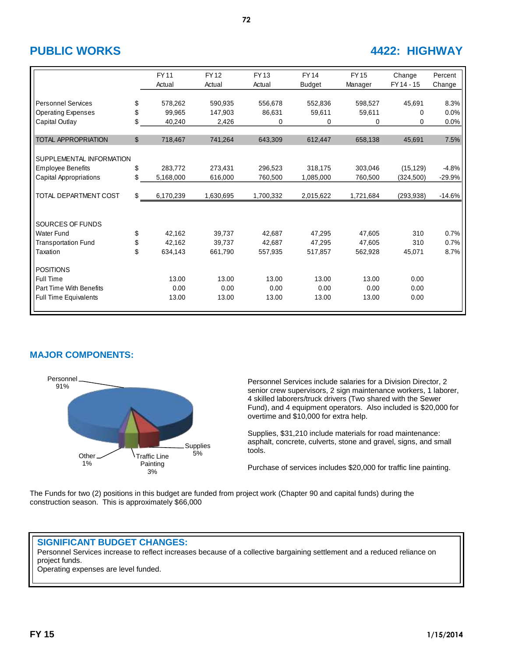## **PUBLIC WORKS 4422: HIGHWAY**

|                               |              | <b>FY11</b><br>Actual | <b>FY12</b><br>Actual | <b>FY13</b><br>Actual | <b>FY14</b><br><b>Budget</b> | <b>FY15</b><br>Manager | Change<br>FY 14 - 15 | Percent<br>Change |
|-------------------------------|--------------|-----------------------|-----------------------|-----------------------|------------------------------|------------------------|----------------------|-------------------|
|                               |              |                       |                       |                       |                              |                        |                      |                   |
| <b>Personnel Services</b>     | \$           | 578,262               | 590,935               | 556,678               | 552,836                      | 598,527                | 45,691               | 8.3%              |
| <b>Operating Expenses</b>     | \$           | 99.965                | 147.903               | 86,631                | 59,611                       | 59.611                 | 0                    | 0.0%              |
| Capital Outlay                | \$           | 40,240                | 2,426                 | 0                     | 0                            | $\mathbf 0$            | $\Omega$             | 0.0%              |
|                               |              |                       |                       |                       |                              |                        |                      |                   |
| <b>TOTAL APPROPRIATION</b>    | $\mathbb{S}$ | 718,467               | 741,264               | 643,309               | 612,447                      | 658,138                | 45,691               | 7.5%              |
|                               |              |                       |                       |                       |                              |                        |                      |                   |
| SUPPLEMENTAL INFORMATION      |              |                       |                       |                       |                              |                        |                      |                   |
| <b>Employee Benefits</b>      | \$           | 283,772               | 273,431               | 296,523               | 318,175                      | 303,046                | (15, 129)            | $-4.8%$           |
| <b>Capital Appropriations</b> | \$           | 5,168,000             | 616,000               | 760,500               | 1,085,000                    | 760,500                | (324, 500)           | $-29.9%$          |
|                               |              |                       |                       |                       |                              |                        |                      |                   |
| TOTAL DEPARTMENT COST         | \$           | 6,170,239             | 1,630,695             | 1,700,332             | 2,015,622                    | 1,721,684              | (293, 938)           | $-14.6%$          |
|                               |              |                       |                       |                       |                              |                        |                      |                   |
| SOURCES OF FUNDS              |              |                       |                       |                       |                              |                        |                      |                   |
| <b>Water Fund</b>             |              | 42.162                | 39.737                | 42,687                | 47,295                       | 47,605                 | 310                  | 0.7%              |
|                               | \$<br>\$     | 42,162                | 39,737                | 42,687                | 47,295                       | 47,605                 | 310                  | 0.7%              |
| <b>Transportation Fund</b>    | \$           |                       |                       |                       |                              |                        |                      |                   |
| Taxation                      |              | 634,143               | 661,790               | 557,935               | 517,857                      | 562,928                | 45,071               | 8.7%              |
| <b>POSITIONS</b>              |              |                       |                       |                       |                              |                        |                      |                   |
| Full Time                     |              | 13.00                 | 13.00                 | 13.00                 | 13.00                        | 13.00                  | 0.00                 |                   |
| Part Time With Benefits       |              | 0.00                  | 0.00                  | 0.00                  | 0.00                         | 0.00                   | 0.00                 |                   |
| <b>Full Time Equivalents</b>  |              | 13.00                 | 13.00                 | 13.00                 | 13.00                        | 13.00                  | 0.00                 |                   |
|                               |              |                       |                       |                       |                              |                        |                      |                   |

### **MAJOR COMPONENTS:**



Personnel Services include salaries for a Division Director, 2 senior crew supervisors, 2 sign maintenance workers, 1 laborer, 4 skilled laborers/truck drivers (Two shared with the Sewer Fund), and 4 equipment operators. Also included is \$20,000 for overtime and \$10,000 for extra help.

Supplies, \$31,210 include materials for road maintenance: asphalt, concrete, culverts, stone and gravel, signs, and small tools.

Purchase of services includes \$20,000 for traffic line painting.

The Funds for two (2) positions in this budget are funded from project work (Chapter 90 and capital funds) during the construction season. This is approximately \$66,000

#### **SIGNIFICANT BUDGET CHANGES:**

Personnel Services increase to reflect increases because of a collective bargaining settlement and a reduced reliance on project funds.

Operating expenses are level funded.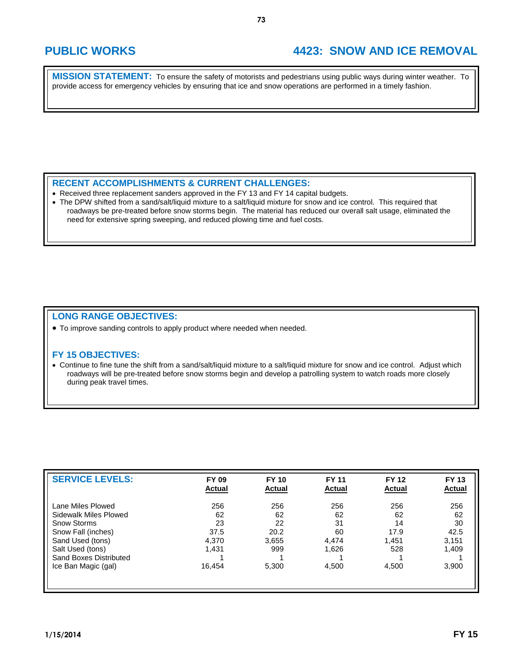## **PUBLIC WORKS 4423: SNOW AND ICE REMOVAL**

**MISSION STATEMENT:** To ensure the safety of motorists and pedestrians using public ways during winter weather. To provide access for emergency vehicles by ensuring that ice and snow operations are performed in a timely fashion.

#### **RECENT ACCOMPLISHMENTS & CURRENT CHALLENGES:**

- Received three replacement sanders approved in the FY 13 and FY 14 capital budgets.
- The DPW shifted from a sand/salt/liquid mixture to a salt/liquid mixture for snow and ice control. This required that roadways be pre-treated before snow storms begin. The material has reduced our overall salt usage, eliminated the need for extensive spring sweeping, and reduced plowing time and fuel costs.

#### **LONG RANGE OBJECTIVES:**

To improve sanding controls to apply product where needed when needed.

#### **FY 15 OBJECTIVES:**

 Continue to fine tune the shift from a sand/salt/liquid mixture to a salt/liquid mixture for snow and ice control. Adjust which roadways will be pre-treated before snow storms begin and develop a patrolling system to watch roads more closely during peak travel times.

| <b>SERVICE LEVELS:</b> | <b>FY 09</b><br><b>Actual</b> | <b>FY 10</b><br><b>Actual</b> | <b>FY 11</b><br><b>Actual</b> | <b>FY 12</b><br><b>Actual</b> | <b>FY 13</b><br><b>Actual</b> |
|------------------------|-------------------------------|-------------------------------|-------------------------------|-------------------------------|-------------------------------|
| Lane Miles Plowed      | 256                           | 256                           | 256                           | 256                           | 256                           |
| Sidewalk Miles Plowed  | 62                            | 62                            | 62                            | 62                            | 62                            |
| <b>Snow Storms</b>     | 23                            | 22                            | 31                            | 14                            | 30                            |
| Snow Fall (inches)     | 37.5                          | 20.2                          | 60                            | 17.9                          | 42.5                          |
| Sand Used (tons)       | 4,370                         | 3,655                         | 4,474                         | 1,451                         | 3,151                         |
| Salt Used (tons)       | 1.431                         | 999                           | 1,626                         | 528                           | 1,409                         |
| Sand Boxes Distributed |                               |                               |                               |                               |                               |
| Ice Ban Magic (gal)    | 16.454                        | 5,300                         | 4,500                         | 4,500                         | 3,900                         |
|                        |                               |                               |                               |                               |                               |
|                        |                               |                               |                               |                               |                               |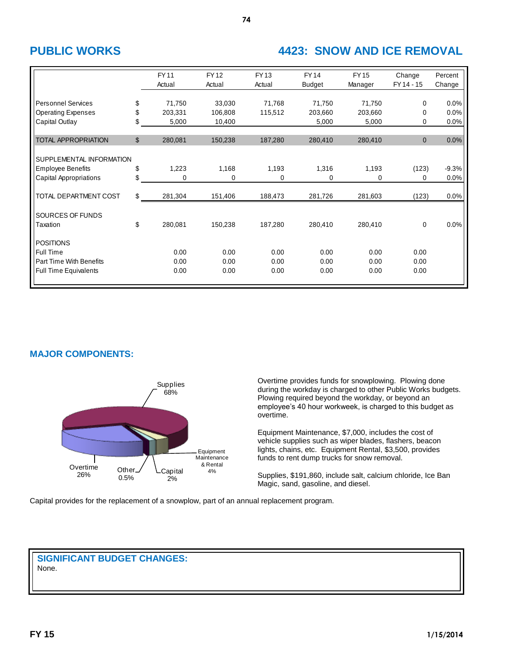## **PUBLIC WORKS 4423: SNOW AND ICE REMOVAL**

|                                                                                          |                | <b>FY11</b><br>Actual | <b>FY12</b><br>Actual | <b>FY13</b><br>Actual | <b>FY14</b><br><b>Budget</b> | <b>FY15</b><br>Manager | Change<br>FY 14 - 15 | Percent<br>Change |
|------------------------------------------------------------------------------------------|----------------|-----------------------|-----------------------|-----------------------|------------------------------|------------------------|----------------------|-------------------|
| <b>Personnel Services</b>                                                                | \$             | 71,750                | 33,030                | 71,768                | 71,750                       | 71,750                 | $\Omega$             | 0.0%              |
| <b>Operating Expenses</b><br>Capital Outlay                                              | \$<br>\$       | 203,331<br>5,000      | 106,808<br>10,400     | 115,512               | 203,660<br>5,000             | 203,660<br>5,000       | $\Omega$<br>0        | 0.0%<br>0.0%      |
| <b>TOTAL APPROPRIATION</b>                                                               | $\mathfrak{S}$ | 280,081               | 150,238               | 187,280               | 280,410                      | 280,410                | $\mathbf{0}$         | 0.0%              |
| SUPPLEMENTAL INFORMATION<br><b>Employee Benefits</b><br><b>Capital Appropriations</b>    | \$<br>\$       | 1,223<br>0            | 1,168<br>0            | 1,193<br>0            | 1,316<br>0                   | 1,193<br>0             | (123)<br>0           | $-9.3%$<br>0.0%   |
| TOTAL DEPARTMENT COST                                                                    | \$             | 281,304               | 151,406               | 188,473               | 281,726                      | 281,603                | (123)                | 0.0%              |
| SOURCES OF FUNDS<br>Taxation                                                             | \$             | 280,081               | 150,238               | 187,280               | 280,410                      | 280,410                | 0                    | 0.0%              |
| <b>POSITIONS</b><br>Full Time<br>Part Time With Benefits<br><b>Full Time Equivalents</b> |                | 0.00<br>0.00<br>0.00  | 0.00<br>0.00<br>0.00  | 0.00<br>0.00<br>0.00  | 0.00<br>0.00<br>0.00         | 0.00<br>0.00<br>0.00   | 0.00<br>0.00<br>0.00 |                   |

### **MAJOR COMPONENTS:**



Overtime provides funds for snowplowing. Plowing done during the workday is charged to other Public Works budgets. Plowing required beyond the workday, or beyond an employee's 40 hour workweek, is charged to this budget as overtime.

Equipment Maintenance, \$7,000, includes the cost of vehicle supplies such as wiper blades, flashers, beacon lights, chains, etc. Equipment Rental, \$3,500, provides funds to rent dump trucks for snow removal.

Supplies, \$191,860, include salt, calcium chloride, Ice Ban Magic, sand, gasoline, and diesel.

Capital provides for the replacement of a snowplow, part of an annual replacement program.

#### **SIGNIFICANT BUDGET CHANGES:** None.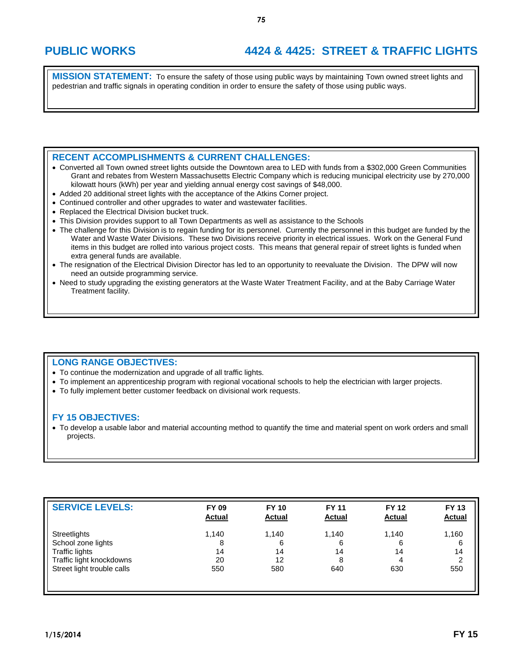# **PUBLIC WORKS 4424 & 4425: STREET & TRAFFIC LIGHTS**

**MISSION STATEMENT:** To ensure the safety of those using public ways by maintaining Town owned street lights and pedestrian and traffic signals in operating condition in order to ensure the safety of those using public ways.

### **RECENT ACCOMPLISHMENTS & CURRENT CHALLENGES:**

- Converted all Town owned street lights outside the Downtown area to LED with funds from a \$302,000 Green Communities Grant and rebates from Western Massachusetts Electric Company which is reducing municipal electricity use by 270,000 kilowatt hours (kWh) per year and yielding annual energy cost savings of \$48,000.
- Added 20 additional street lights with the acceptance of the Atkins Corner project.
- Continued controller and other upgrades to water and wastewater facilities.
- Replaced the Electrical Division bucket truck.
- This Division provides support to all Town Departments as well as assistance to the Schools
- The challenge for this Division is to regain funding for its personnel. Currently the personnel in this budget are funded by the Water and Waste Water Divisions. These two Divisions receive priority in electrical issues. Work on the General Fund items in this budget are rolled into various project costs. This means that general repair of street lights is funded when extra general funds are available.
- The resignation of the Electrical Division Director has led to an opportunity to reevaluate the Division. The DPW will now need an outside programming service.
- Need to study upgrading the existing generators at the Waste Water Treatment Facility, and at the Baby Carriage Water Treatment facility.

### **LONG RANGE OBJECTIVES:**

- To continue the modernization and upgrade of all traffic lights.
- To implement an apprenticeship program with regional vocational schools to help the electrician with larger projects.
- To fully implement better customer feedback on divisional work requests.

### **FY 15 OBJECTIVES:**

 To develop a usable labor and material accounting method to quantify the time and material spent on work orders and small projects.

| <b>SERVICE LEVELS:</b>     | <b>FY 09</b><br><b>Actual</b> | <b>FY 10</b><br><b>Actual</b> | <b>FY 11</b><br><b>Actual</b> | <b>FY 12</b><br><b>Actual</b> | <b>FY 13</b><br><b>Actual</b> |
|----------------------------|-------------------------------|-------------------------------|-------------------------------|-------------------------------|-------------------------------|
| Streetlights               | 1,140                         | 1,140                         | 1.140                         | 1.140                         | 1,160                         |
| School zone lights         | 8                             | 6                             | 6                             | 6                             | 6                             |
| <b>Traffic lights</b>      | 14                            | 14                            | 14                            | 14                            | 14                            |
| Traffic light knockdowns   | 20                            | 12                            | 8                             |                               | $\overline{2}$                |
| Street light trouble calls | 550                           | 580                           | 640                           | 630                           | 550                           |
|                            |                               |                               |                               |                               |                               |
|                            |                               |                               |                               |                               |                               |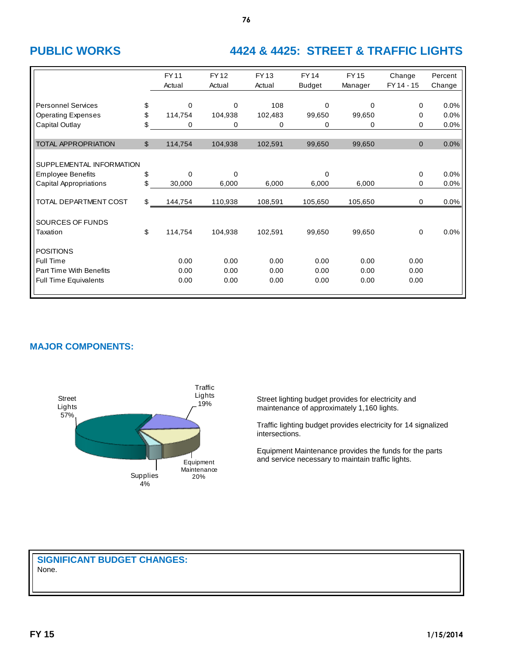# **PUBLIC WORKS 4424 & 4425: STREET & TRAFFIC LIGHTS**

|                                | <b>FY11</b><br>Actual | <b>FY12</b><br>Actual | <b>FY13</b><br>Actual | <b>FY14</b><br><b>Budget</b> | <b>FY15</b><br>Manager | Change<br>FY 14 - 15 | Percent<br>Change |
|--------------------------------|-----------------------|-----------------------|-----------------------|------------------------------|------------------------|----------------------|-------------------|
| <b>Personnel Services</b>      | \$<br>0               | 0                     | 108                   | $\Omega$                     | $\Omega$               | 0                    | 0.0%              |
| <b>Operating Expenses</b>      | \$<br>114,754         | 104,938               | 102,483               | 99,650                       | 99,650                 | 0                    | 0.0%              |
| Capital Outlay                 | \$<br>0               | 0                     | 0                     | 0                            | 0                      | 0                    | 0.0%              |
|                                |                       |                       |                       |                              |                        |                      |                   |
| <b>TOTAL APPROPRIATION</b>     | \$<br>114,754         | 104,938               | 102,591               | 99,650                       | 99,650                 | $\mathbf{0}$         | 0.0%              |
|                                |                       |                       |                       |                              |                        |                      |                   |
| SUPPLEMENTAL INFORMATION       |                       |                       |                       |                              |                        |                      |                   |
| <b>Employee Benefits</b>       | \$<br>$\Omega$        | $\Omega$              |                       | $\Omega$                     |                        | 0                    | 0.0%              |
| <b>Capital Appropriations</b>  | \$<br>30,000          | 6,000                 | 6,000                 | 6,000                        | 6,000                  | 0                    | 0.0%              |
|                                |                       |                       |                       |                              |                        |                      |                   |
| TOTAL DEPARTMENT COST          | \$<br>144,754         | 110,938               | 108,591               | 105,650                      | 105,650                | 0                    | 0.0%              |
| SOURCES OF FUNDS               |                       |                       |                       |                              |                        |                      |                   |
|                                | \$                    |                       |                       |                              |                        |                      |                   |
| Taxation                       | 114,754               | 104,938               | 102,591               | 99,650                       | 99,650                 | 0                    | 0.0%              |
| <b>POSITIONS</b>               |                       |                       |                       |                              |                        |                      |                   |
| Full Time                      | 0.00                  | 0.00                  | 0.00                  | 0.00                         | 0.00                   | 0.00                 |                   |
| <b>Part Time With Benefits</b> | 0.00                  | 0.00                  | 0.00                  | 0.00                         | 0.00                   | 0.00                 |                   |
| <b>Full Time Equivalents</b>   | 0.00                  | 0.00                  | 0.00                  | 0.00                         | 0.00                   | 0.00                 |                   |
|                                |                       |                       |                       |                              |                        |                      |                   |

**76**

### **MAJOR COMPONENTS:**



Street lighting budget provides for electricity and maintenance of approximately 1,160 lights.

Traffic lighting budget provides electricity for 14 signalized intersections.

Equipment Maintenance provides the funds for the parts and service necessary to maintain traffic lights.

**SIGNIFICANT BUDGET CHANGES:**

None.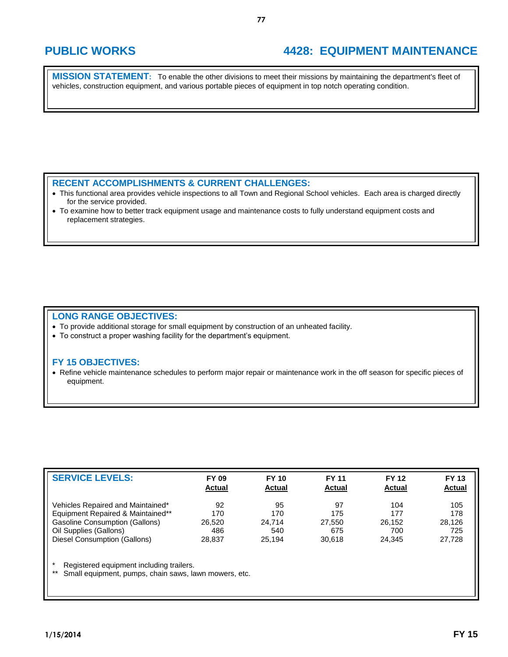## **PUBLIC WORKS 4428: EQUIPMENT MAINTENANCE**

**MISSION STATEMENT:** To enable the other divisions to meet their missions by maintaining the department's fleet of vehicles, construction equipment, and various portable pieces of equipment in top notch operating condition.

### **RECENT ACCOMPLISHMENTS & CURRENT CHALLENGES:**

- This functional area provides vehicle inspections to all Town and Regional School vehicles. Each area is charged directly for the service provided.
- To examine how to better track equipment usage and maintenance costs to fully understand equipment costs and replacement strategies.

#### **LONG RANGE OBJECTIVES:**

- To provide additional storage for small equipment by construction of an unheated facility.
- To construct a proper washing facility for the department's equipment.

#### **FY 15 OBJECTIVES:**

 Refine vehicle maintenance schedules to perform major repair or maintenance work in the off season for specific pieces of equipment.

| <b>SERVICE LEVELS:</b>                                                     | <b>FY 09</b><br><b>Actual</b> | <b>FY 10</b><br><b>Actual</b> | <b>FY 11</b><br><b>Actual</b> | <b>FY 12</b><br><b>Actual</b> | <b>FY 13</b><br><b>Actual</b> |
|----------------------------------------------------------------------------|-------------------------------|-------------------------------|-------------------------------|-------------------------------|-------------------------------|
| Vehicles Repaired and Maintained*                                          | 92<br>170                     | 95<br>170                     | 97<br>175                     | 104<br>177                    | 105<br>178                    |
| Equipment Repaired & Maintained**<br><b>Gasoline Consumption (Gallons)</b> | 26.520                        | 24.714                        | 27.550                        | 26.152                        | 28.126                        |
| Oil Supplies (Gallons)                                                     | 486                           | 540                           | 675                           | 700                           | 725                           |
| Diesel Consumption (Gallons)                                               | 28.837                        | 25.194                        | 30.618                        | 24.345                        | 27.728                        |

\* Registered equipment including trailers.

Small equipment, pumps, chain saws, lawn mowers, etc.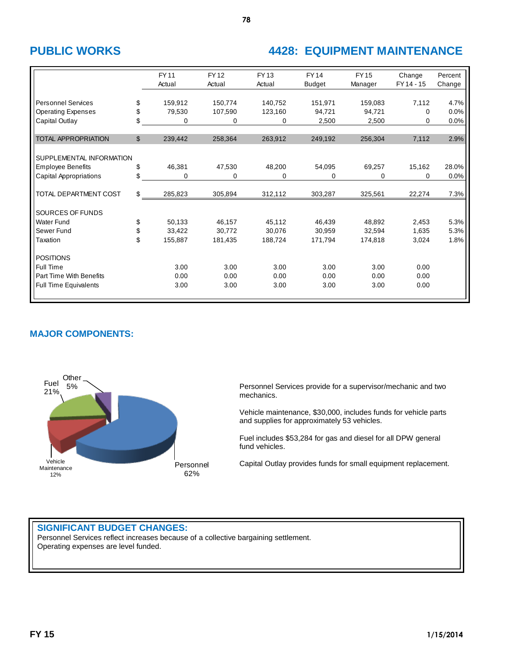# **PUBLIC WORKS 4428: EQUIPMENT MAINTENANCE**

|                                |              | <b>FY11</b><br>Actual | <b>FY12</b><br>Actual | FY 13<br>Actual | <b>FY14</b><br><b>Budget</b> | <b>FY15</b><br>Manager | Change<br>FY 14 - 15 | Percent<br>Change |
|--------------------------------|--------------|-----------------------|-----------------------|-----------------|------------------------------|------------------------|----------------------|-------------------|
| <b>Personnel Services</b>      | \$           | 159,912               | 150,774               | 140,752         | 151,971                      | 159,083                | 7,112                | 4.7%              |
| <b>Operating Expenses</b>      | \$           | 79,530                | 107,590               | 123,160         | 94.721                       | 94,721                 | $\Omega$             | 0.0%              |
| Capital Outlay                 | \$           | 0                     | 0                     | 0               | 2,500                        | 2,500                  | 0                    | 0.0%              |
|                                |              |                       |                       |                 |                              |                        |                      |                   |
| <b>TOTAL APPROPRIATION</b>     | $\mathbb{S}$ | 239,442               | 258,364               | 263,912         | 249,192                      | 256,304                | 7,112                | 2.9%              |
|                                |              |                       |                       |                 |                              |                        |                      |                   |
| SUPPLEMENTAL INFORMATION       |              |                       |                       |                 |                              |                        |                      |                   |
| <b>Employee Benefits</b>       | \$           | 46,381                | 47,530                | 48,200          | 54,095                       | 69,257                 | 15,162               | 28.0%             |
| Capital Appropriations         | \$           | 0                     | 0                     | 0               | 0                            | 0                      | $\Omega$             | 0.0%              |
|                                |              |                       |                       |                 |                              |                        |                      |                   |
| TOTAL DEPARTMENT COST          | \$           | 285,823               | 305,894               | 312,112         | 303,287                      | 325,561                | 22,274               | 7.3%              |
| SOURCES OF FUNDS               |              |                       |                       |                 |                              |                        |                      |                   |
| <b>Water Fund</b>              | \$           | 50,133                | 46,157                | 45,112          | 46,439                       | 48,892                 | 2,453                | 5.3%              |
| Sewer Fund                     | \$           | 33,422                | 30.772                | 30,076          | 30.959                       | 32,594                 | 1,635                | 5.3%              |
| Taxation                       | \$           | 155,887               | 181,435               | 188,724         | 171,794                      | 174,818                | 3,024                | 1.8%              |
|                                |              |                       |                       |                 |                              |                        |                      |                   |
| <b>POSITIONS</b>               |              |                       |                       |                 |                              |                        |                      |                   |
| Full Time                      |              | 3.00                  | 3.00                  | 3.00            | 3.00                         | 3.00                   | 0.00                 |                   |
| <b>Part Time With Benefits</b> |              | 0.00                  | 0.00                  | 0.00            | 0.00                         | 0.00                   | 0.00                 |                   |
| <b>Full Time Equivalents</b>   |              | 3.00                  | 3.00                  | 3.00            | 3.00                         | 3.00                   | 0.00                 |                   |
|                                |              |                       |                       |                 |                              |                        |                      |                   |

### **MAJOR COMPONENTS:**



Personnel Services provide for a supervisor/mechanic and two mechanics.

Vehicle maintenance, \$30,000, includes funds for vehicle parts and supplies for approximately 53 vehicles.

Fuel includes \$53,284 for gas and diesel for all DPW general fund vehicles.

Capital Outlay provides funds for small equipment replacement.

#### **SIGNIFICANT BUDGET CHANGES:**

Personnel Services reflect increases because of a collective bargaining settlement. Operating expenses are level funded.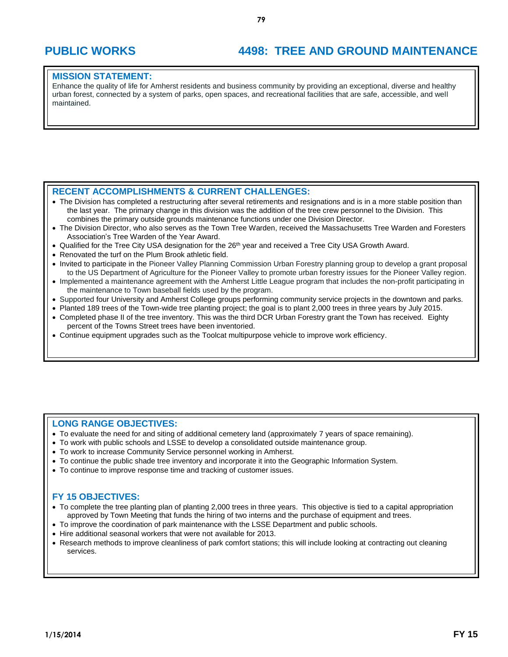# **PUBLIC WORKS 4498: TREE AND GROUND MAINTENANCE**

#### **MISSION STATEMENT:**

Enhance the quality of life for Amherst residents and business community by providing an exceptional, diverse and healthy urban forest, connected by a system of parks, open spaces, and recreational facilities that are safe, accessible, and well maintained.

#### **RECENT ACCOMPLISHMENTS & CURRENT CHALLENGES:**

- The Division has completed a restructuring after several retirements and resignations and is in a more stable position than the last year. The primary change in this division was the addition of the tree crew personnel to the Division. This combines the primary outside grounds maintenance functions under one Division Director.
- The Division Director, who also serves as the Town Tree Warden, received the Massachusetts Tree Warden and Foresters Association's Tree Warden of the Year Award.
- Qualified for the Tree City USA designation for the 26<sup>th</sup> year and received a Tree City USA Growth Award.
- Renovated the turf on the Plum Brook athletic field.
- Invited to participate in the Pioneer Valley Planning Commission Urban Forestry planning group to develop a grant proposal to the US Department of Agriculture for the Pioneer Valley to promote urban forestry issues for the Pioneer Valley region.
- Implemented a maintenance agreement with the Amherst Little League program that includes the non-profit participating in the maintenance to Town baseball fields used by the program.
- Supported four University and Amherst College groups performing community service projects in the downtown and parks.
- Planted 189 trees of the Town-wide tree planting project; the goal is to plant 2,000 trees in three years by July 2015. Completed phase II of the tree inventory. This was the third DCR Urban Forestry grant the Town has received. Eighty percent of the Towns Street trees have been inventoried.
- Continue equipment upgrades such as the Toolcat multipurpose vehicle to improve work efficiency.

#### **LONG RANGE OBJECTIVES:**

- To evaluate the need for and siting of additional cemetery land (approximately 7 years of space remaining).
- To work with public schools and LSSE to develop a consolidated outside maintenance group.
- To work to increase Community Service personnel working in Amherst.
- To continue the public shade tree inventory and incorporate it into the Geographic Information System.
- To continue to improve response time and tracking of customer issues.

#### **FY 15 OBJECTIVES:**

- To complete the tree planting plan of planting 2,000 trees in three years. This objective is tied to a capital appropriation approved by Town Meeting that funds the hiring of two interns and the purchase of equipment and trees.
- To improve the coordination of park maintenance with the LSSE Department and public schools.
- Hire additional seasonal workers that were not available for 2013.
- Research methods to improve cleanliness of park comfort stations; this will include looking at contracting out cleaning services.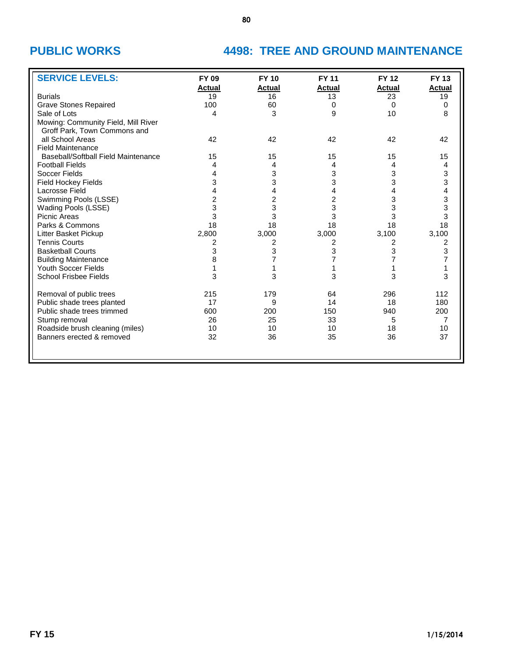# **PUBLIC WORKS 4498: TREE AND GROUND MAINTENANCE**

| <b>SERVICE LEVELS:</b>                     | <b>FY 09</b>        | <b>FY 10</b>        | <b>FY 11</b>        | <b>FY 12</b>        | <b>FY 13</b>        |
|--------------------------------------------|---------------------|---------------------|---------------------|---------------------|---------------------|
| <b>Burials</b>                             | <b>Actual</b><br>19 | <b>Actual</b><br>16 | <b>Actual</b><br>13 | <b>Actual</b><br>23 | <b>Actual</b><br>19 |
| <b>Grave Stones Repaired</b>               | 100                 | 60                  | 0                   | 0                   | $\Omega$            |
| Sale of Lots                               | 4                   | 3                   | 9                   | 10                  | 8                   |
| Mowing: Community Field, Mill River        |                     |                     |                     |                     |                     |
| Groff Park, Town Commons and               |                     |                     |                     |                     |                     |
| all School Areas                           | 42                  | 42                  | 42                  | 42                  | 42                  |
| <b>Field Maintenance</b>                   |                     |                     |                     |                     |                     |
| <b>Baseball/Softball Field Maintenance</b> | 15                  | 15                  | 15                  | 15                  | 15                  |
| <b>Football Fields</b>                     | 4                   | 4                   | 4                   | 4                   | 4                   |
| Soccer Fields                              | 4                   | 3                   | 3                   | 3                   | 3                   |
| <b>Field Hockey Fields</b>                 | 3                   | 3                   | 3                   | 3                   | 3                   |
| Lacrosse Field                             |                     | 4                   | 4                   | 4                   | 4                   |
| Swimming Pools (LSSE)                      | 2                   | $\overline{c}$      | 2                   | 3                   | 3                   |
| <b>Wading Pools (LSSE)</b>                 | 3                   | 3                   | 3                   | 3                   | 3                   |
| Picnic Areas                               | 3                   | 3                   | 3                   | 3                   | 3                   |
| Parks & Commons                            | 18                  | 18                  | 18                  | 18                  | 18                  |
| Litter Basket Pickup                       | 2,800               | 3,000               | 3,000               | 3,100               | 3,100               |
| <b>Tennis Courts</b>                       | 2                   | $\overline{2}$      | $\overline{c}$      | 2                   | $\overline{c}$      |
| <b>Basketball Courts</b>                   | 3                   | 3                   | 3                   | 3                   | 3                   |
| <b>Building Maintenance</b>                | 8                   | 7                   |                     | 7                   | $\overline{7}$      |
| <b>Youth Soccer Fields</b>                 |                     |                     | 1                   |                     | 1                   |
| <b>School Frisbee Fields</b>               | 3                   | 3                   | 3                   | 3                   | 3                   |
| Removal of public trees                    | 215                 | 179                 | 64                  | 296                 | 112                 |
| Public shade trees planted                 | 17                  | 9                   | 14                  | 18                  | 180                 |
| Public shade trees trimmed                 | 600                 | 200                 | 150                 | 940                 | 200                 |
| Stump removal                              | 26                  | 25                  | 33                  | 5                   | $\overline{7}$      |
| Roadside brush cleaning (miles)            | 10                  | 10                  | 10                  | 18                  | 10                  |
| Banners erected & removed                  | 32                  | 36                  | 35                  | 36                  | 37                  |
|                                            |                     |                     |                     |                     |                     |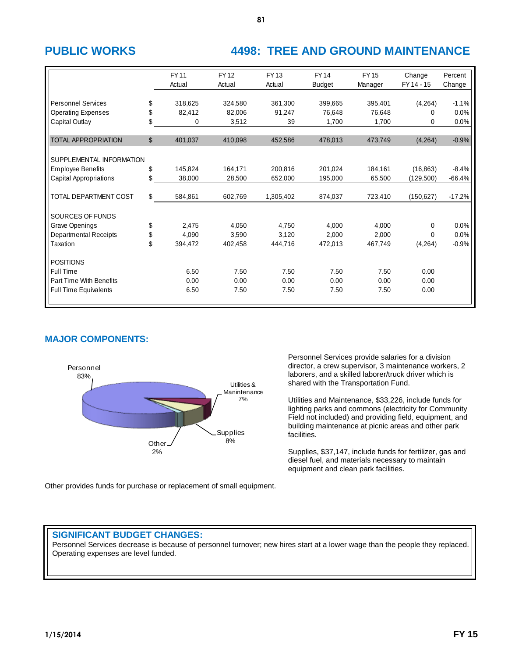# **PUBLIC WORKS 4498: TREE AND GROUND MAINTENANCE**

|                                                                                          |                | <b>FY11</b><br>Actual     | <b>FY12</b><br>Actual      | FY 13<br>Actual           | <b>FY14</b><br><b>Budget</b> | <b>FY15</b><br>Manager     | Change<br>FY 14 - 15            | Percent<br>Change       |
|------------------------------------------------------------------------------------------|----------------|---------------------------|----------------------------|---------------------------|------------------------------|----------------------------|---------------------------------|-------------------------|
| <b>Personnel Services</b><br><b>Operating Expenses</b><br>Capital Outlay                 | \$<br>\$<br>\$ | 318,625<br>82,412<br>0    | 324,580<br>82,006<br>3,512 | 361,300<br>91,247<br>39   | 399,665<br>76,648<br>1,700   | 395,401<br>76,648<br>1,700 | (4,264)<br>0<br>0               | $-1.1%$<br>0.0%<br>0.0% |
| <b>TOTAL APPROPRIATION</b>                                                               | \$             | 401,037                   | 410,098                    | 452,586                   | 478,013                      | 473,749                    | (4,264)                         | $-0.9%$                 |
| SUPPLEMENTAL INFORMATION<br><b>Employee Benefits</b><br><b>Capital Appropriations</b>    | \$<br>\$       | 145,824<br>38,000         | 164,171<br>28,500          | 200,816<br>652,000        | 201,024<br>195,000           | 184,161<br>65,500          | (16, 863)<br>(129,500)          | $-8.4%$<br>$-66.4%$     |
| TOTAL DEPARTMENT COST                                                                    | \$             | 584,861                   | 602,769                    | 1,305,402                 | 874,037                      | 723,410                    | (150, 627)                      | $-17.2%$                |
| SOURCES OF FUNDS                                                                         |                |                           |                            |                           |                              |                            |                                 |                         |
| Grave Openings<br><b>Departmental Receipts</b><br>Taxation                               | \$<br>\$<br>\$ | 2,475<br>4,090<br>394,472 | 4,050<br>3,590<br>402,458  | 4,750<br>3,120<br>444,716 | 4,000<br>2,000<br>472,013    | 4,000<br>2,000<br>467,749  | $\Omega$<br>$\Omega$<br>(4,264) | 0.0%<br>0.0%<br>$-0.9%$ |
| <b>POSITIONS</b><br>Full Time<br>Part Time With Benefits<br><b>Full Time Equivalents</b> |                | 6.50<br>0.00<br>6.50      | 7.50<br>0.00<br>7.50       | 7.50<br>0.00<br>7.50      | 7.50<br>0.00<br>7.50         | 7.50<br>0.00<br>7.50       | 0.00<br>0.00<br>0.00            |                         |

### **MAJOR COMPONENTS:**



Personnel Services provide salaries for a division director, a crew supervisor, 3 maintenance workers, 2 laborers, and a skilled laborer/truck driver which is shared with the Transportation Fund.

Utilities and Maintenance, \$33,226, include funds for lighting parks and commons (electricity for Community Field not included) and providing field, equipment, and building maintenance at picnic areas and other park facilities.

Supplies, \$37,147, include funds for fertilizer, gas and diesel fuel, and materials necessary to maintain equipment and clean park facilities.

Other provides funds for purchase or replacement of small equipment.

### **SIGNIFICANT BUDGET CHANGES:**

Personnel Services decrease is because of personnel turnover; new hires start at a lower wage than the people they replaced. Operating expenses are level funded.